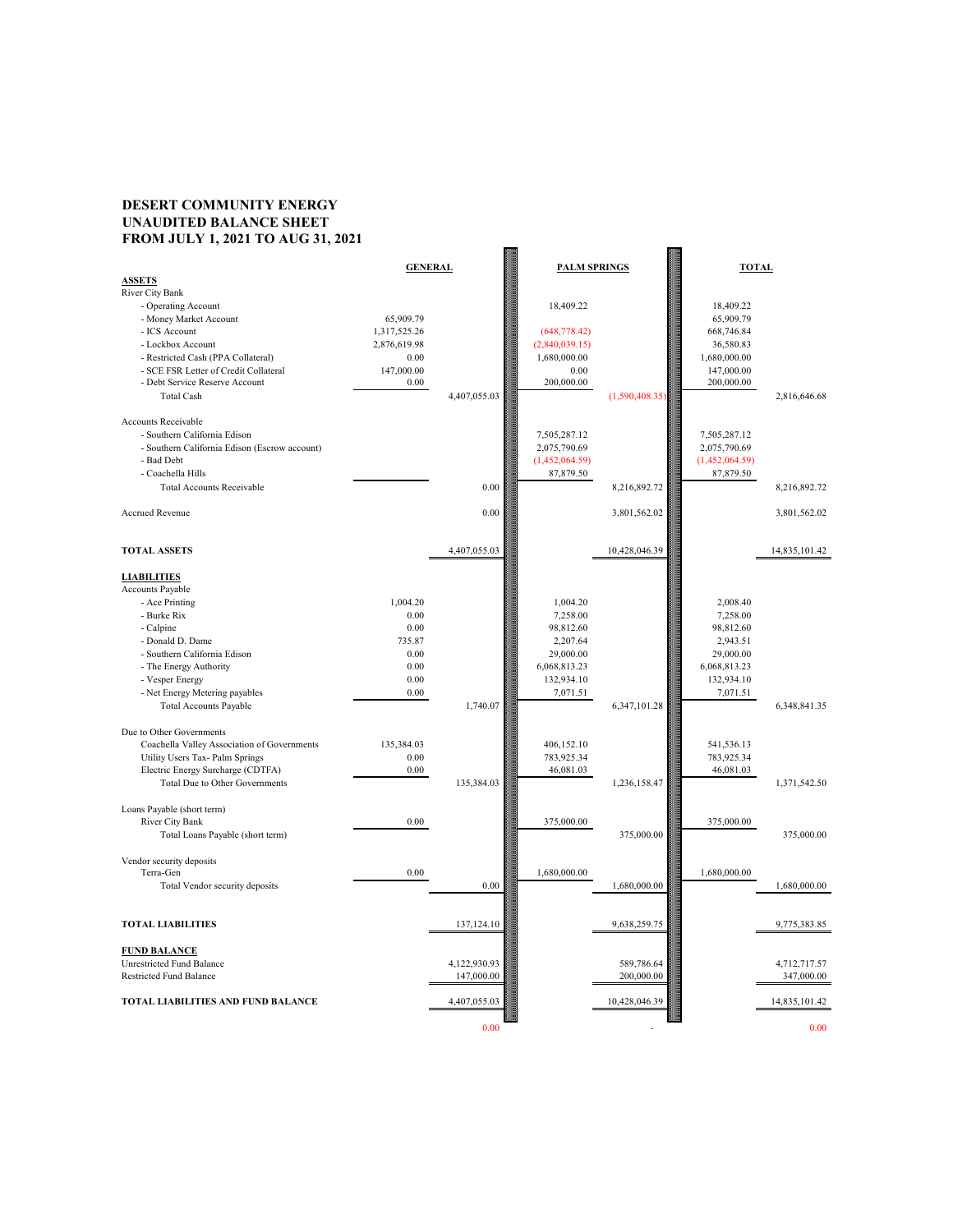## **DESERT COMMUNITY ENERGY UNAUDITED BALANCE SHEET FROM JULY 1, 2021 TO AUG 31, 2021**

| <b>ASSETS</b>                                 | <b>GENERAL</b> |              | <b>PALM SPRINGS</b> |                | <b>TOTAL</b>   |               |
|-----------------------------------------------|----------------|--------------|---------------------|----------------|----------------|---------------|
| <b>River City Bank</b>                        |                |              |                     |                |                |               |
| - Operating Account                           |                |              | 18,409.22           |                | 18,409.22      |               |
| - Money Market Account                        | 65,909.79      |              |                     |                | 65,909.79      |               |
| - ICS Account                                 | 1,317,525.26   |              | (648, 778.42)       |                | 668,746.84     |               |
| - Lockbox Account                             | 2,876,619.98   |              | (2,840,039.15)      |                | 36,580.83      |               |
| - Restricted Cash (PPA Collateral)            | 0.00           |              | 1,680,000.00        |                | 1,680,000.00   |               |
| - SCE FSR Letter of Credit Collateral         | 147,000.00     |              | 0.00                |                | 147,000.00     |               |
| - Debt Service Reserve Account                | 0.00           |              | 200,000.00          |                | 200,000.00     |               |
| <b>Total Cash</b>                             |                | 4,407,055.03 |                     | (1,590,408.35) |                | 2,816,646.68  |
|                                               |                |              |                     |                |                |               |
| <b>Accounts Receivable</b>                    |                |              |                     |                |                |               |
| - Southern California Edison                  |                |              | 7,505,287.12        |                | 7,505,287.12   |               |
| - Southern California Edison (Escrow account) |                |              | 2,075,790.69        |                | 2,075,790.69   |               |
| - Bad Debt                                    |                |              | (1,452,064.59)      |                | (1,452,064.59) |               |
| - Coachella Hills                             |                |              | 87,879.50           |                | 87,879.50      |               |
| <b>Total Accounts Receivable</b>              |                | 0.00         |                     | 8,216,892.72   |                | 8,216,892.72  |
|                                               |                |              |                     |                |                |               |
| <b>Accrued Revenue</b>                        |                | 0.00         |                     | 3,801,562.02   |                | 3,801,562.02  |
|                                               |                |              |                     |                |                |               |
|                                               |                |              |                     |                |                |               |
| <b>TOTAL ASSETS</b>                           |                | 4,407,055.03 |                     | 10,428,046.39  |                | 14,835,101.42 |
|                                               |                |              |                     |                |                |               |
| <b>LIABILITIES</b>                            |                |              |                     |                |                |               |
| <b>Accounts Payable</b>                       |                |              |                     |                |                |               |
| - Ace Printing                                | 1,004.20       |              | 1,004.20            |                | 2,008.40       |               |
| - Burke Rix                                   | 0.00           |              | 7,258.00            |                | 7,258.00       |               |
| - Calpine                                     | 0.00           |              | 98,812.60           |                | 98,812.60      |               |
| - Donald D. Dame                              | 735.87         |              | 2,207.64            |                | 2,943.51       |               |
| - Southern California Edison                  | 0.00           |              | 29,000.00           |                | 29,000.00      |               |
| - The Energy Authority                        | 0.00           |              | 6,068,813.23        |                | 6,068,813.23   |               |
| - Vesper Energy                               | 0.00           |              | 132,934.10          |                | 132,934.10     |               |
| - Net Energy Metering payables                | 0.00           |              | 7,071.51            |                | 7,071.51       |               |
| <b>Total Accounts Payable</b>                 |                | 1,740.07     |                     | 6,347,101.28   |                | 6,348,841.35  |
|                                               |                |              |                     |                |                |               |
| Due to Other Governments                      |                |              |                     |                |                |               |
| Coachella Valley Association of Governments   | 135,384.03     |              | 406,152.10          |                | 541,536.13     |               |
| Utility Users Tax- Palm Springs               | 0.00           |              | 783,925.34          |                | 783,925.34     |               |
| Electric Energy Surcharge (CDTFA)             | 0.00           |              | 46,081.03           |                | 46,081.03      |               |
| <b>Total Due to Other Governments</b>         |                | 135,384.03   |                     | 1.236.158.47   |                | 1.371.542.50  |

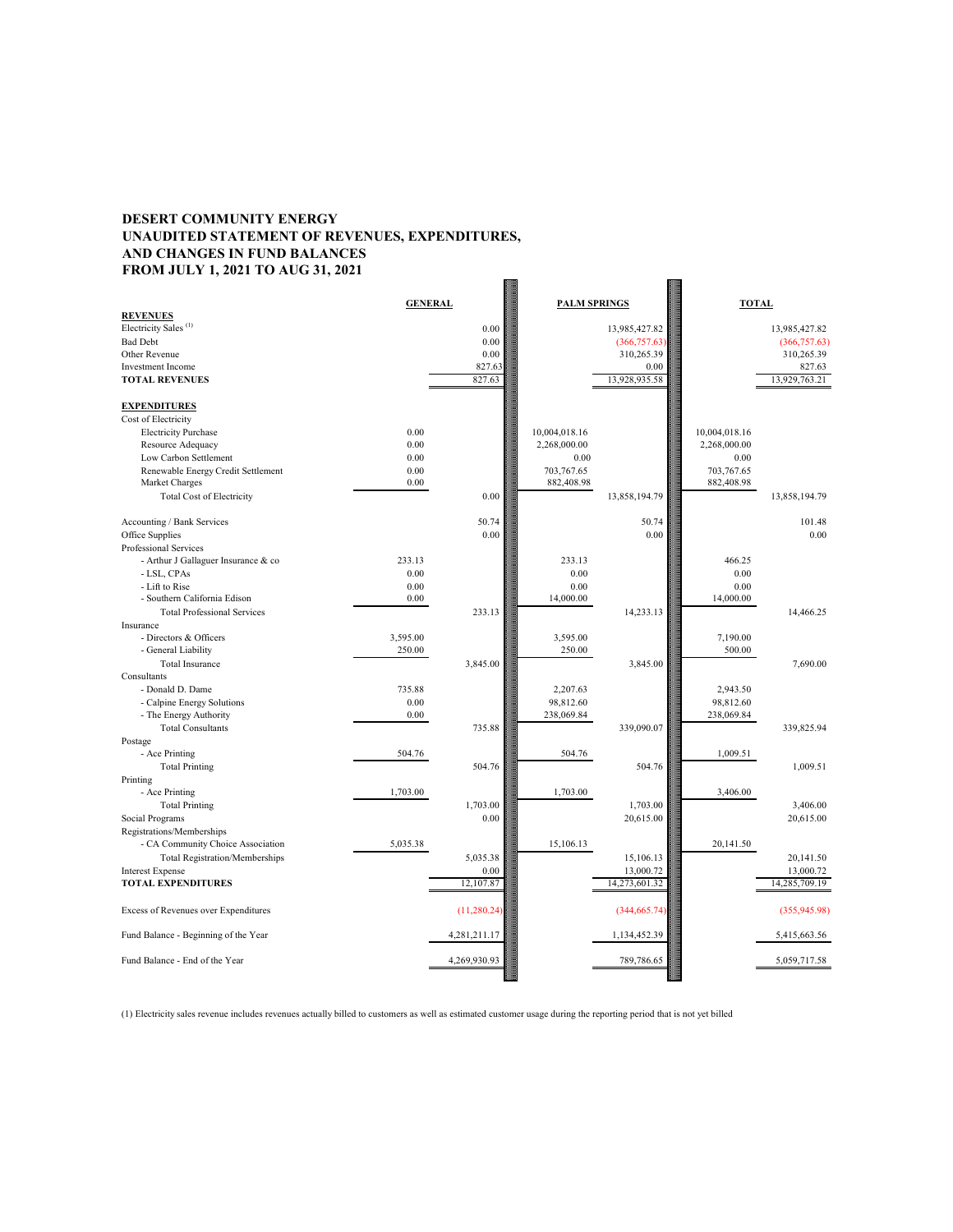## **DESERT COMMUNITY ENERGY UNAUDITED STATEMENT OF REVENUES, EXPENDITURES, AND CHANGES IN FUND BALANCES FROM JULY 1, 2021 TO AUG 31, 2021**

|                                                                  |          | <b>GENERAL</b> |               | <b>PALM SPRINGS</b> |               | <b>TOTAL</b>  |  |
|------------------------------------------------------------------|----------|----------------|---------------|---------------------|---------------|---------------|--|
| <b>REVENUES</b>                                                  |          |                |               |                     |               |               |  |
| Electricity Sales <sup>(1)</sup>                                 |          | 0.00           |               | 13,985,427.82       |               | 13,985,427.82 |  |
| <b>Bad Debt</b>                                                  |          | 0.00           |               | (366, 757.63)       |               | (366,757.63)  |  |
| Other Revenue                                                    |          | 0.00           |               | 310,265.39          |               | 310,265.39    |  |
| <b>Investment Income</b>                                         |          | 827.63         |               | 0.00                |               | 827.63        |  |
| <b>TOTAL REVENUES</b>                                            |          | 827.63         |               | 13,928,935.58       |               | 13,929,763.21 |  |
| <b>EXPENDITURES</b>                                              |          |                |               |                     |               |               |  |
| Cost of Electricity                                              |          |                |               |                     |               |               |  |
| <b>Electricity Purchase</b>                                      | 0.00     |                | 10,004,018.16 |                     | 10,004,018.16 |               |  |
| Resource Adequacy                                                | 0.00     |                | 2,268,000.00  |                     | 2,268,000.00  |               |  |
| Low Carbon Settlement                                            | 0.00     |                | 0.00          |                     | 0.00          |               |  |
| Renewable Energy Credit Settlement                               | 0.00     |                | 703,767.65    |                     | 703,767.65    |               |  |
| Market Charges                                                   | 0.00     |                | 882,408.98    |                     | 882,408.98    |               |  |
| <b>Total Cost of Electricity</b>                                 |          | 0.00           |               | 13,858,194.79       |               | 13,858,194.79 |  |
| Accounting / Bank Services                                       |          | 50.74          |               | 50.74               |               | 101.48        |  |
| Office Supplies                                                  |          | 0.00           |               | 0.00                |               | 0.00          |  |
| Professional Services                                            |          |                |               |                     |               |               |  |
| - Arthur J Gallaguer Insurance & co                              | 233.13   |                | 233.13        |                     | 466.25        |               |  |
| - LSL, CPAs                                                      | 0.00     |                | 0.00          |                     | 0.00          |               |  |
| - Lift to Rise                                                   | 0.00     |                | 0.00          |                     | 0.00          |               |  |
| - Southern California Edison                                     | 0.00     |                | 14,000.00     |                     | 14,000.00     |               |  |
| <b>Total Professional Services</b>                               |          | 233.13         |               | 14,233.13           |               | 14,466.25     |  |
| Insurance                                                        |          |                |               |                     |               |               |  |
| - Directors & Officers                                           | 3,595.00 |                | 3,595.00      |                     | 7,190.00      |               |  |
| - General Liability                                              | 250.00   |                | 250.00        |                     | 500.00        |               |  |
| Total Insurance                                                  |          | 3,845.00       |               | 3,845.00            |               | 7,690.00      |  |
| Consultants                                                      |          |                |               |                     |               |               |  |
| - Donald D. Dame                                                 | 735.88   |                | 2,207.63      |                     | 2,943.50      |               |  |
| - Calpine Energy Solutions                                       | 0.00     |                | 98,812.60     |                     | 98,812.60     |               |  |
| - The Energy Authority                                           | 0.00     |                | 238,069.84    |                     | 238,069.84    |               |  |
| <b>Total Consultants</b>                                         |          | 735.88         |               | 339,090.07          |               | 339,825.94    |  |
| Postage                                                          |          |                |               |                     |               |               |  |
| - Ace Printing                                                   | 504.76   |                | 504.76        |                     | 1,009.51      |               |  |
| <b>Total Printing</b>                                            |          | 504.76         |               | 504.76              |               | 1,009.51      |  |
| Printing                                                         |          |                |               |                     |               |               |  |
| - Ace Printing                                                   | 1,703.00 |                | 1,703.00      |                     | 3,406.00      |               |  |
| <b>Total Printing</b>                                            |          | 1,703.00       |               | 1,703.00            |               | 3,406.00      |  |
| Social Programs                                                  |          | 0.00           |               | 20,615.00           |               | 20,615.00     |  |
| Registrations/Memberships                                        |          |                |               |                     |               |               |  |
| - CA Community Choice Association                                | 5,035.38 |                | 15,106.13     |                     | 20,141.50     |               |  |
|                                                                  |          | 5,035.38       |               | 15,106.13           |               | 20,141.50     |  |
| <b>Total Registration/Memberships</b><br><b>Interest Expense</b> |          | 0.00           |               | 13,000.72           |               |               |  |
| <b>TOTAL EXPENDITURES</b>                                        |          |                |               |                     |               | 13,000.72     |  |
|                                                                  |          | 12,107.87      |               | 14,273,601.32       |               | 14,285,709.19 |  |
| Excess of Revenues over Expenditures                             |          | (11,280.24)    |               | (344, 665.74)       |               | (355,945.98)  |  |
| Fund Balance - Beginning of the Year                             |          | 4,281,211.17   |               | 1,134,452.39        |               | 5,415,663.56  |  |
| Fund Balance - End of the Year                                   |          | 4,269,930.93   |               | 789,786.65          |               | 5,059,717.58  |  |
|                                                                  |          |                |               |                     |               |               |  |

(1) Electricity sales revenue includes revenues actually billed to customers as well as estimated customer usage during the reporting period that is not yet billed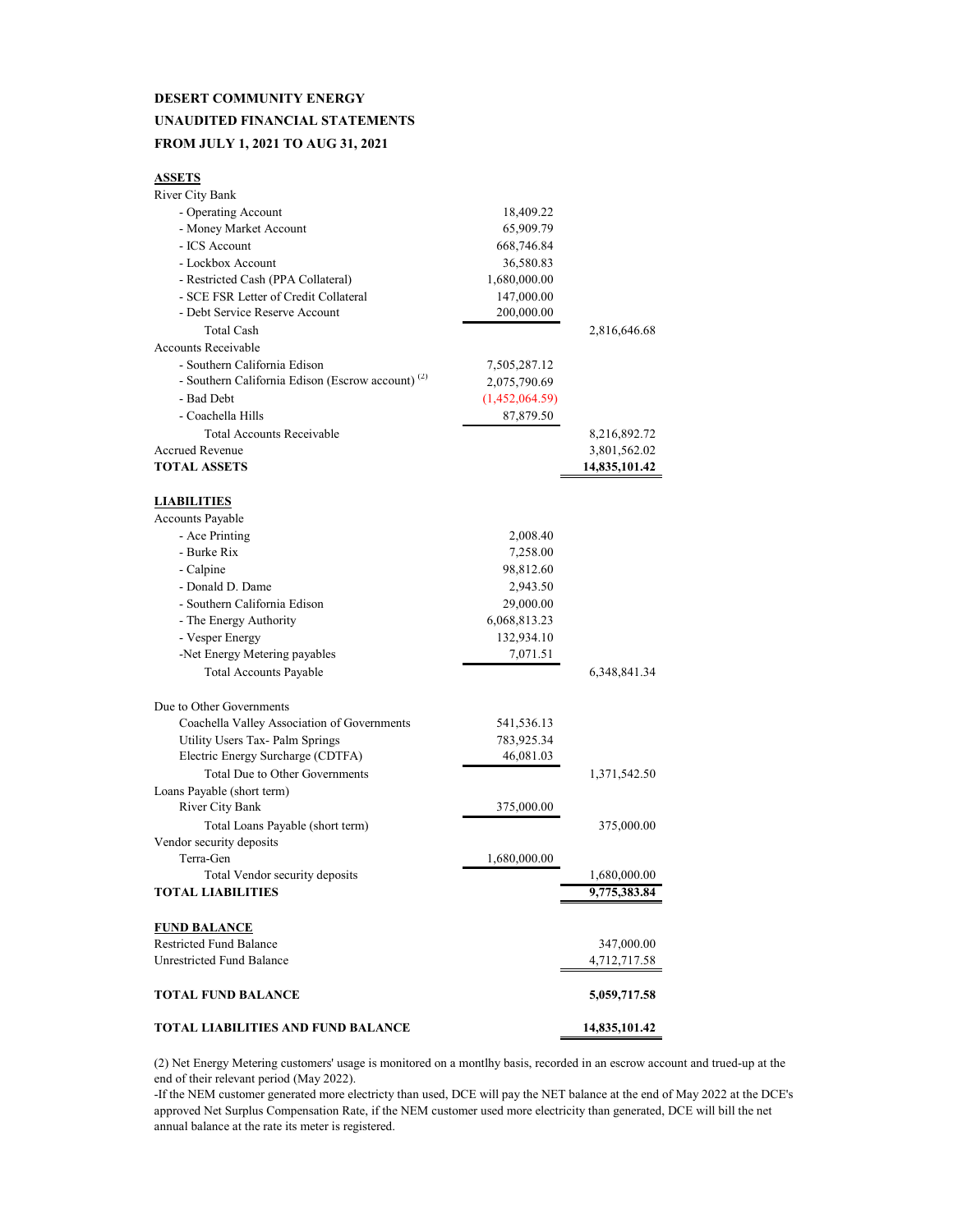### **DESERT COMMUNITY ENERGY UNAUDITED FINANCIAL STATEMENTS FROM JULY 1, 2021 TO AUG 31, 2021**

#### **ASSETS**

| <b>TOTAL LIABILITIES AND FUND BALANCE</b>                            |                         | 14,835,101.42   |
|----------------------------------------------------------------------|-------------------------|-----------------|
| <b>TOTAL FUND BALANCE</b>                                            |                         | 5,059,717.58    |
|                                                                      |                         | 4,712,717.58    |
| <b>Restricted Fund Balance</b><br><b>Unrestricted Fund Balance</b>   |                         | 347,000.00      |
| <b>FUND BALANCE</b>                                                  |                         |                 |
|                                                                      |                         |                 |
| <b>TOTAL LIABILITIES</b>                                             |                         | 9,775,383.84    |
| Total Vendor security deposits                                       |                         | 1,680,000.00    |
| Terra-Gen                                                            | 1,680,000.00            |                 |
| Vendor security deposits                                             |                         |                 |
| Total Loans Payable (short term)                                     |                         | 375,000.00      |
| Loans Payable (short term)<br><b>River City Bank</b>                 | 375,000.00              |                 |
|                                                                      |                         | 1,371,542.50    |
| <b>Total Due to Other Governments</b>                                |                         |                 |
| Utility Users Tax- Palm Springs<br>Electric Energy Surcharge (CDTFA) | 783,925.34<br>46,081.03 |                 |
| Coachella Valley Association of Governments                          | 541,536.13              |                 |
| Due to Other Governments                                             |                         |                 |
|                                                                      |                         |                 |
| <b>Total Accounts Payable</b>                                        |                         | 6, 348, 841. 34 |
| -Net Energy Metering payables                                        | 7,071.51                |                 |
| - Vesper Energy                                                      | 132,934.10              |                 |
| - The Energy Authority                                               | 6,068,813.23            |                 |
| - Southern California Edison                                         | 29,000.00               |                 |
| - Donald D. Dame                                                     | 2,943.50                |                 |
| - Calpine                                                            | 98,812.60               |                 |
| - Burke Rix                                                          | 7,258.00                |                 |
| - Ace Printing                                                       | 2,008.40                |                 |
| <b>Accounts Payable</b>                                              |                         |                 |
| <b>LIABILITIES</b>                                                   |                         |                 |
|                                                                      |                         | 14,835,101.42   |
| <b>Accrued Revenue</b><br><b>TOTAL ASSETS</b>                        |                         | 3,801,562.02    |
| <b>Total Accounts Receivable</b>                                     |                         | 8,216,892.72    |
| - Coachella Hills                                                    | 87,879.50               |                 |
| - Bad Debt                                                           | (1,452,064.59)          |                 |
| - Southern California Edison (Escrow account) <sup>(2)</sup>         | 2,075,790.69            |                 |
| - Southern California Edison                                         | 7,505,287.12            |                 |
| Accounts Receivable                                                  |                         |                 |
| <b>Total Cash</b>                                                    |                         | 2,816,646.68    |
| - Debt Service Reserve Account                                       | 200,000.00              |                 |
| - SCE FSR Letter of Credit Collateral                                | 147,000.00              |                 |
| - Restricted Cash (PPA Collateral)                                   | 1,680,000.00            |                 |
| - Lockbox Account                                                    | 36,580.83               |                 |
| - ICS Account                                                        | 668,746.84              |                 |
| - Money Market Account                                               | 65,909.79               |                 |
| - Operating Account                                                  | 18,409.22               |                 |
| <b>River City Bank</b>                                               |                         |                 |

(2) Net Energy Metering customers' usage is monitored on a montlhy basis, recorded in an escrow account and trued-up at the end of their relevant period (May 2022).

-If the NEM customer generated more electricty than used, DCE will pay the NET balance at the end of May 2022 at the DCE's approved Net Surplus Compensation Rate, if the NEM customer used more electricity than generated, DCE will bill the net annual balance at the rate its meter is registered.